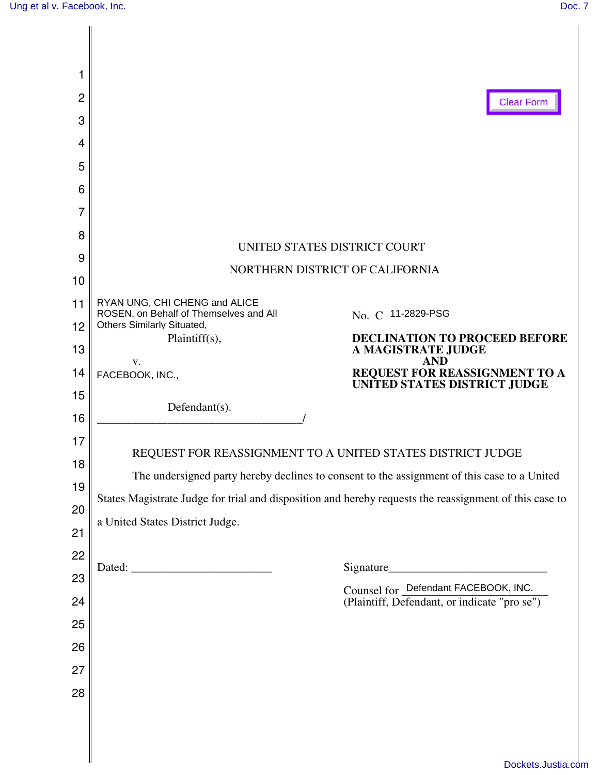| 1        |                                                                                                        |  |  |  |  |
|----------|--------------------------------------------------------------------------------------------------------|--|--|--|--|
| 2        | <b>Clear Form</b>                                                                                      |  |  |  |  |
| 3        |                                                                                                        |  |  |  |  |
| 4        |                                                                                                        |  |  |  |  |
| 5        |                                                                                                        |  |  |  |  |
| 6        |                                                                                                        |  |  |  |  |
| 7        |                                                                                                        |  |  |  |  |
| 8        | UNITED STATES DISTRICT COURT                                                                           |  |  |  |  |
| 9        | NORTHERN DISTRICT OF CALIFORNIA                                                                        |  |  |  |  |
| 10       |                                                                                                        |  |  |  |  |
| 11       | RYAN UNG, CHI CHENG and ALICE<br>ROSEN, on Behalf of Themselves and All<br>No. C 11-2829-PSG           |  |  |  |  |
| 12       | Others Similarly Situated,<br>Plaintiff(s),<br><b>DECLINATION TO PROCEED BEFORE</b>                    |  |  |  |  |
| 13       | A MAGISTRATE JUDGE<br><b>AND</b><br>V.                                                                 |  |  |  |  |
| 14       | REQUEST FOR REASSIGNMENT TO A UNITED STATES DISTRICT JUDGE<br>FACEBOOK, INC.,                          |  |  |  |  |
| 15       | Defendant(s).                                                                                          |  |  |  |  |
| 16       |                                                                                                        |  |  |  |  |
| 17       | REQUEST FOR REASSIGNMENT TO A UNITED STATES DISTRICT JUDGE                                             |  |  |  |  |
| 18       | The undersigned party hereby declines to consent to the assignment of this case to a United            |  |  |  |  |
| 19<br>20 | States Magistrate Judge for trial and disposition and hereby requests the reassignment of this case to |  |  |  |  |
| 21       | a United States District Judge.                                                                        |  |  |  |  |
| 22       |                                                                                                        |  |  |  |  |
| 23       |                                                                                                        |  |  |  |  |
| 24       | Counsel for Defendant FACEBOOK, INC.<br>(Plaintiff, Defendant, or indicate "pro se")                   |  |  |  |  |
| 25       |                                                                                                        |  |  |  |  |
| 26       |                                                                                                        |  |  |  |  |
| 27       |                                                                                                        |  |  |  |  |
| 28       |                                                                                                        |  |  |  |  |
|          |                                                                                                        |  |  |  |  |
|          |                                                                                                        |  |  |  |  |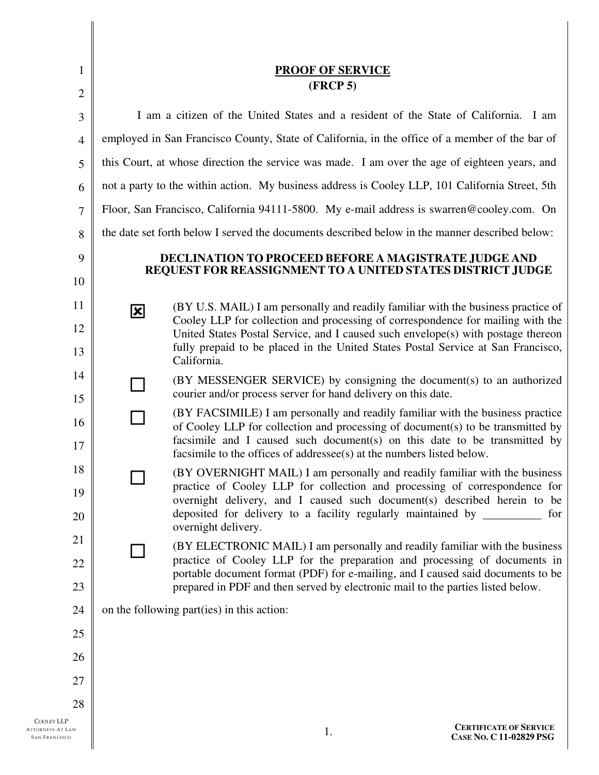| $\mathbf{1}$                | <b>PROOF OF SERVICE</b>                                                                                            |                                                                                                                                                                                                                        |                                                          |  |
|-----------------------------|--------------------------------------------------------------------------------------------------------------------|------------------------------------------------------------------------------------------------------------------------------------------------------------------------------------------------------------------------|----------------------------------------------------------|--|
| $\overline{2}$              | (FRCP 5)                                                                                                           |                                                                                                                                                                                                                        |                                                          |  |
| 3                           | I am a citizen of the United States and a resident of the State of California. I am                                |                                                                                                                                                                                                                        |                                                          |  |
| $\overline{4}$              | employed in San Francisco County, State of California, in the office of a member of the bar of                     |                                                                                                                                                                                                                        |                                                          |  |
| 5                           | this Court, at whose direction the service was made. I am over the age of eighteen years, and                      |                                                                                                                                                                                                                        |                                                          |  |
| 6                           | not a party to the within action. My business address is Cooley LLP, 101 California Street, 5th                    |                                                                                                                                                                                                                        |                                                          |  |
| 7                           | Floor, San Francisco, California 94111-5800. My e-mail address is swarren@cooley.com. On                           |                                                                                                                                                                                                                        |                                                          |  |
| 8                           | the date set forth below I served the documents described below in the manner described below:                     |                                                                                                                                                                                                                        |                                                          |  |
| 9                           | DECLINATION TO PROCEED BEFORE A MAGISTRATE JUDGE AND<br>REQUEST FOR REASSIGNMENT TO A UNITED STATES DISTRICT JUDGE |                                                                                                                                                                                                                        |                                                          |  |
| 10                          |                                                                                                                    |                                                                                                                                                                                                                        |                                                          |  |
| 11                          | $\vert x \vert$                                                                                                    | (BY U.S. MAIL) I am personally and readily familiar with the business practice of<br>Cooley LLP for collection and processing of correspondence for mailing with the                                                   |                                                          |  |
| 12<br>13                    |                                                                                                                    | United States Postal Service, and I caused such envelope(s) with postage thereon<br>fully prepaid to be placed in the United States Postal Service at San Francisco,                                                   |                                                          |  |
| 14                          |                                                                                                                    | California.                                                                                                                                                                                                            |                                                          |  |
| 15                          |                                                                                                                    | (BY MESSENGER SERVICE) by consigning the document(s) to an authorized<br>courier and/or process server for hand delivery on this date.                                                                                 |                                                          |  |
| 16                          |                                                                                                                    | (BY FACSIMILE) I am personally and readily familiar with the business practice<br>of Cooley LLP for collection and processing of document(s) to be transmitted by                                                      |                                                          |  |
| 17                          |                                                                                                                    | facsimile and I caused such document(s) on this date to be transmitted by<br>facsimile to the offices of addressee(s) at the numbers listed below.                                                                     |                                                          |  |
| 18                          |                                                                                                                    | (BY OVERNIGHT MAIL) I am personally and readily familiar with the business                                                                                                                                             |                                                          |  |
| 19<br>20                    |                                                                                                                    | practice of Cooley LLP for collection and processing of correspondence for<br>overnight delivery, and I caused such document(s) described herein to be<br>deposited for delivery to a facility regularly maintained by | for                                                      |  |
| 21                          |                                                                                                                    | overnight delivery.                                                                                                                                                                                                    |                                                          |  |
| 22                          |                                                                                                                    | (BY ELECTRONIC MAIL) I am personally and readily familiar with the business<br>practice of Cooley LLP for the preparation and processing of documents in                                                               |                                                          |  |
| 23                          |                                                                                                                    | portable document format (PDF) for e-mailing, and I caused said documents to be<br>prepared in PDF and then served by electronic mail to the parties listed below.                                                     |                                                          |  |
| 24                          |                                                                                                                    | on the following part (ies) in this action:                                                                                                                                                                            |                                                          |  |
| 25                          |                                                                                                                    |                                                                                                                                                                                                                        |                                                          |  |
| 26                          |                                                                                                                    |                                                                                                                                                                                                                        |                                                          |  |
| 27                          |                                                                                                                    |                                                                                                                                                                                                                        |                                                          |  |
| 28                          |                                                                                                                    |                                                                                                                                                                                                                        |                                                          |  |
| LP<br><b>AT LAW</b><br>ISCO |                                                                                                                    | 1.                                                                                                                                                                                                                     | <b>CERTIFICATE OF SERVICE</b><br>CASE No. C 11-02829 PSG |  |